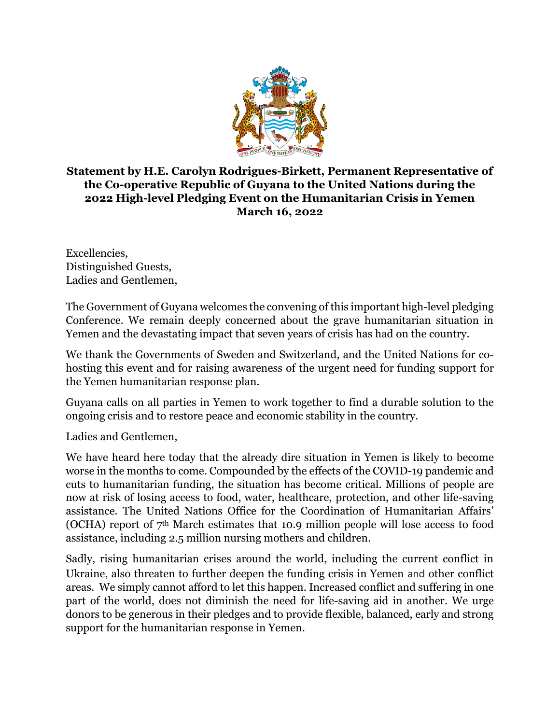

## **Statement by H.E. Carolyn Rodrigues-Birkett, Permanent Representative of the Co-operative Republic of Guyana to the United Nations during the 2022 High-level Pledging Event on the Humanitarian Crisis in Yemen March 16, 2022**

Excellencies, Distinguished Guests, Ladies and Gentlemen,

The Government of Guyana welcomes the convening of this important high-level pledging Conference. We remain deeply concerned about the grave humanitarian situation in Yemen and the devastating impact that seven years of crisis has had on the country.

We thank the Governments of Sweden and Switzerland, and the United Nations for cohosting this event and for raising awareness of the urgent need for funding support for the Yemen humanitarian response plan.

Guyana calls on all parties in Yemen to work together to find a durable solution to the ongoing crisis and to restore peace and economic stability in the country.

Ladies and Gentlemen,

We have heard here today that the already dire situation in Yemen is likely to become worse in the months to come. Compounded by the effects of the COVID-19 pandemic and cuts to humanitarian funding, the situation has become critical. Millions of people are now at risk of losing access to food, water, healthcare, protection, and other life-saving assistance. The United Nations Office for the Coordination of Humanitarian Affairs' (OCHA) report of  $7<sup>th</sup>$  March estimates that 10.9 million people will lose access to food assistance, including 2.5 million nursing mothers and children.

Sadly, rising humanitarian crises around the world, including the current conflict in Ukraine, also threaten to further deepen the funding crisis in Yemen and other conflict areas. We simply cannot afford to let this happen. Increased conflict and suffering in one part of the world, does not diminish the need for life-saving aid in another. We urge donors to be generous in their pledges and to provide flexible, balanced, early and strong support for the humanitarian response in Yemen.